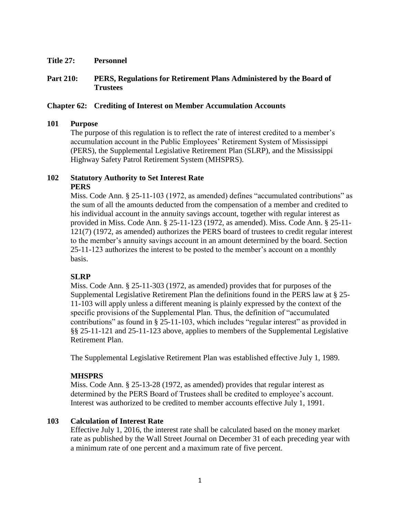**Title 27: Personnel**

# **Part 210: PERS, Regulations for Retirement Plans Administered by the Board of Trustees**

## **Chapter 62: Crediting of Interest on Member Accumulation Accounts**

#### **101 Purpose**

The purpose of this regulation is to reflect the rate of interest credited to a member's accumulation account in the Public Employees' Retirement System of Mississippi (PERS), the Supplemental Legislative Retirement Plan (SLRP), and the Mississippi Highway Safety Patrol Retirement System (MHSPRS).

## **102 Statutory Authority to Set Interest Rate PERS**

Miss. Code Ann. § 25-11-103 (1972, as amended) defines "accumulated contributions" as the sum of all the amounts deducted from the compensation of a member and credited to his individual account in the annuity savings account, together with regular interest as provided in Miss. Code Ann. § 25-11-123 (1972, as amended). Miss. Code Ann. § 25-11- 121(7) (1972, as amended) authorizes the PERS board of trustees to credit regular interest to the member's annuity savings account in an amount determined by the board. Section 25-11-123 authorizes the interest to be posted to the member's account on a monthly basis.

## **SLRP**

Miss. Code Ann. § 25-11-303 (1972, as amended) provides that for purposes of the Supplemental Legislative Retirement Plan the definitions found in the PERS law at § 25- 11-103 will apply unless a different meaning is plainly expressed by the context of the specific provisions of the Supplemental Plan. Thus, the definition of "accumulated contributions" as found in § 25-11-103, which includes "regular interest" as provided in §§ 25-11-121 and 25-11-123 above, applies to members of the Supplemental Legislative Retirement Plan.

The Supplemental Legislative Retirement Plan was established effective July 1, 1989.

## **MHSPRS**

Miss. Code Ann. § 25-13-28 (1972, as amended) provides that regular interest as determined by the PERS Board of Trustees shall be credited to employee's account. Interest was authorized to be credited to member accounts effective July 1, 1991.

#### **103 Calculation of Interest Rate**

Effective July 1, 2016, the interest rate shall be calculated based on the money market rate as published by the Wall Street Journal on December 31 of each preceding year with a minimum rate of one percent and a maximum rate of five percent.